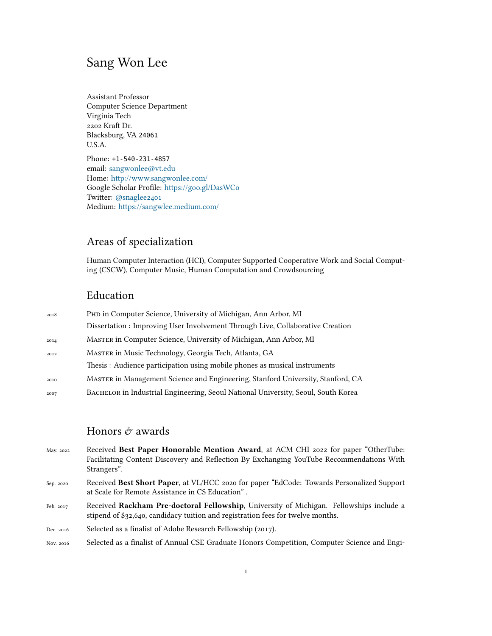## Sang Won Lee

Assistant Professor Computer Science Department Virginia Tech 2202 Kraft Dr. Blacksburg, VA 24061 U.S.A. Phone: +1-540-231-4857

email: [sangwonlee@vt.edu](mailto:sangwonlee@vt.edu) Home: <http://www.sangwonlee.com/> Google Scholar Profile: <https://goo.gl/DasWCo> Twitter: [@snaglee2401](https://twitter.com/snaglee2401) Medium: <https://sangwlee.medium.com/>

## Areas of specialization

Human Computer Interaction (HCI), Computer Supported Cooperative Work and Social Computing (CSCW), Computer Music, Human Computation and Crowdsourcing

## Education

| 2018 | PHD in Computer Science, University of Michigan, Ann Arbor, MI                    |
|------|-----------------------------------------------------------------------------------|
|      | Dissertation : Improving User Involvement Through Live, Collaborative Creation    |
| 2014 | MASTER in Computer Science, University of Michigan, Ann Arbor, MI                 |
| 2012 | MASTER in Music Technology, Georgia Tech, Atlanta, GA                             |
|      | Thesis: Audience participation using mobile phones as musical instruments         |
| 2010 | MASTER in Management Science and Engineering, Stanford University, Stanford, CA   |
| 2007 | BACHELOR in Industrial Engineering, Seoul National University, Seoul, South Korea |

## Honors  $\acute{\mathcal{C}}$  awards

| May. 2022 | Received Best Paper Honorable Mention Award, at ACM CHI 2022 for paper "OtherTube:                                                            |
|-----------|-----------------------------------------------------------------------------------------------------------------------------------------------|
|           | Facilitating Content Discovery and Reflection By Exchanging YouTube Recommendations With                                                      |
|           | Strangers".                                                                                                                                   |
| Sep. 2020 | Received Best Short Paper, at VL/HCC 2020 for paper "EdCode: Towards Personalized Support<br>at Scale for Remote Assistance in CS Education". |
| Feb. 2017 | Received Rackham Pre-doctoral Fellowship, University of Michigan. Fellowships include a                                                       |

Dec. 2016 Selected as a finalist of Adobe Research Fellowship (2017).

Nov. 2016 Selected as a finalist of Annual CSE Graduate Honors Competition, Computer Science and Engi-

stipend of \$32,640, candidacy tuition and registration fees for twelve months.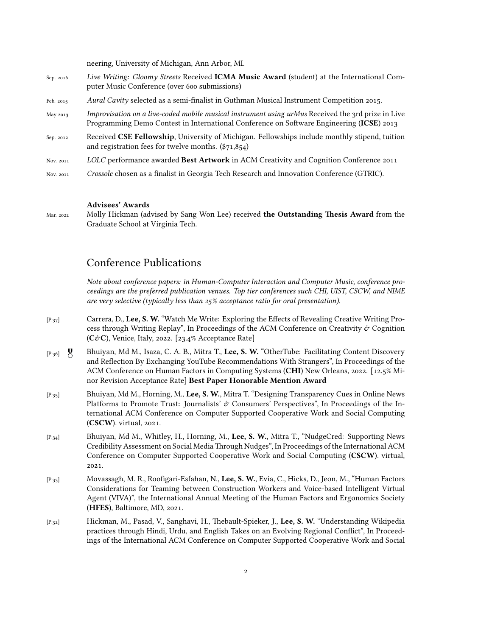neering, University of Michigan, Ann Arbor, MI.

- Sep. 2016 *Live Writing: Gloomy Streets* Received **ICMA Music Award** (student) at the International Computer Music Conference (over 600 submissions)
- Feb. 2015 *Aural Cavity* selected as a semi-finalist in Guthman Musical Instrument Competition 2015.
- May 2013 *Improvisation on a live-coded mobile musical instrument using urMus* Received the 3rd prize in Live Programming Demo Contest in International Conference on Software Engineering (**ICSE**) 2013
- Sep. 2012 Received **CSE Fellowship**, University of Michigan. Fellowships include monthly stipend, tuition and registration fees for twelve months. (\$71,854)
- Nov. 2011 *LOLC* performance awarded **Best Artwork** in ACM Creativity and Cognition Conference 2011
- Nov. 2011 *Crossole* chosen as a finalist in Georgia Tech Research and Innovation Conference (GTRIC).

#### **Advisees' Awards**

Mar. 2022 Molly Hickman (advised by Sang Won Lee) received **the Outstanding Thesis Award** from the Graduate School at Virginia Tech.

### Conference Publications

*Note about conference papers: in Human-Computer Interaction and Computer Music, conference proceedings are the preferred publication venues. Top tier conferences such CHI, UIST, CSCW, and NIME are very selective (typically less than 25% acceptance ratio for oral presentation).*

- [P.37] Carrera, D., **Lee, S. W.** "Watch Me Write: Exploring the Effects of Revealing Creative Writing Process through Writing Replay", In Proceedings of the ACM Conference on Creativity  $\dot{\sigma}$  Cognition (**C**&**C**), Venice, Italy, 2022. [23.4% Acceptance Rate]
- [P.36] Bhuiyan, Md M., Isaza, C. A. B., Mitra T., **Lee, S. W.** "OtherTube: Facilitating Content Discovery and Reflection By Exchanging YouTube Recommendations With Strangers", In Proceedings of the ACM Conference on Human Factors in Computing Systems (**CHI**) New Orleans, 2022. [12.5% Minor Revision Acceptance Rate] **Best Paper Honorable Mention Award**
- [P.35] Bhuiyan, Md M., Horning, M., **Lee, S. W.**, Mitra T. "Designing Transparency Cues in Online News Platforms to Promote Trust: Journalists'  $\dot{\mathcal{C}}$  Consumers' Perspectives", In Proceedings of the International ACM Conference on Computer Supported Cooperative Work and Social Computing (**CSCW**). virtual, 2021.
- [P.34] Bhuiyan, Md M., Whitley, H., Horning, M., **Lee, S. W.**, Mitra T., "NudgeCred: Supporting News Credibility Assessment on Social Media Through Nudges", In Proceedings of the International ACM Conference on Computer Supported Cooperative Work and Social Computing (**CSCW**). virtual, 2021.
- [P.33] Movassagh, M. R., Roofigari-Esfahan, N., **Lee, S. W.**, Evia, C., Hicks, D., Jeon, M., "Human Factors Considerations for Teaming between Construction Workers and Voice-based Intelligent Virtual Agent (VIVA)", the International Annual Meeting of the Human Factors and Ergonomics Society (**HFES**), Baltimore, MD, 2021.
- [P.32] Hickman, M., Pasad, V., Sanghavi, H., Thebault-Spieker, J., **Lee, S. W.** "Understanding Wikipedia practices through Hindi, Urdu, and English Takes on an Evolving Regional Conflict", In Proceedings of the International ACM Conference on Computer Supported Cooperative Work and Social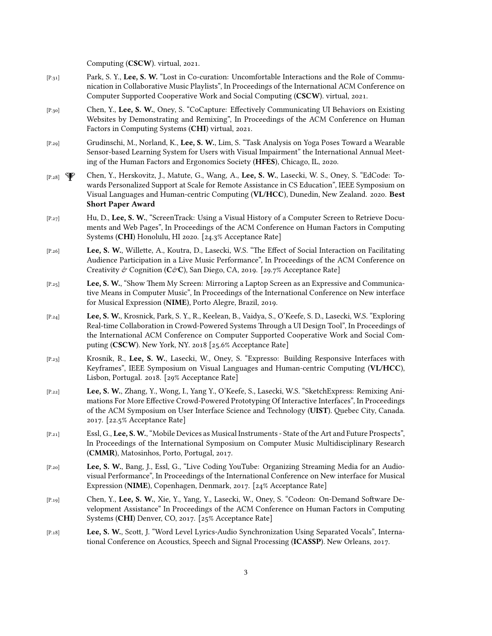Computing (**CSCW**). virtual, 2021.

- [P.31] Park, S. Y., **Lee, S. W.** "Lost in Co-curation: Uncomfortable Interactions and the Role of Communication in Collaborative Music Playlists", In Proceedings of the International ACM Conference on Computer Supported Cooperative Work and Social Computing (**CSCW**). virtual, 2021.
- [P.30] Chen, Y., **Lee, S. W.**, Oney, S. "CoCapture: Effectively Communicating UI Behaviors on Existing Websites by Demonstrating and Remixing", In Proceedings of the ACM Conference on Human Factors in Computing Systems (**CHI**) virtual, 2021.
- [P.29] Grudinschi, M., Norland, K., **Lee, S. W.**, Lim, S. "Task Analysis on Yoga Poses Toward a Wearable Sensor-based Learning System for Users with Visual Impairment" the International Annual Meeting of the Human Factors and Ergonomics Society (**HFES**), Chicago, IL, 2020.
- [P.28] Chen, Y., Herskovitz, J., Matute, G., Wang, A., **Lee, S. W.**, Lasecki, W. S., Oney, S. "EdCode: Towards Personalized Support at Scale for Remote Assistance in CS Education", IEEE Symposium on Visual Languages and Human-centric Computing (**VL/HCC**), Dunedin, New Zealand. 2020. **Best Short Paper Award**
- [P.27] Hu, D., **Lee, S. W.**, "ScreenTrack: Using a Visual History of a Computer Screen to Retrieve Documents and Web Pages", In Proceedings of the ACM Conference on Human Factors in Computing Systems (**CHI**) Honolulu, HI 2020. [24.3% Acceptance Rate]
- [P.26] **Lee, S. W.**, Willette, A., Koutra, D., Lasecki, W.S. "The Effect of Social Interaction on Facilitating Audience Participation in a Live Music Performance", In Proceedings of the ACM Conference on Creativity & Cognition (C&C), San Diego, CA, 2019. [29.7% Acceptance Rate]
- [P.25] **Lee, S. W.**, "Show Them My Screen: Mirroring a Laptop Screen as an Expressive and Communicative Means in Computer Music", In Proceedings of the International Conference on New interface for Musical Expression (**NIME**), Porto Alegre, Brazil, 2019.
- [P.24] **Lee, S. W.**, Krosnick, Park, S. Y., R., Keelean, B., Vaidya, S., O'Keefe, S. D., Lasecki, W.S. "Exploring Real-time Collaboration in Crowd-Powered Systems Through a UI Design Tool", In Proceedings of the International ACM Conference on Computer Supported Cooperative Work and Social Computing (**CSCW**). New York, NY. 2018 [25.6% Acceptance Rate]
- [P.23] Krosnik, R., **Lee, S. W.**, Lasecki, W., Oney, S. "Expresso: Building Responsive Interfaces with Keyframes", IEEE Symposium on Visual Languages and Human-centric Computing (**VL/HCC**), Lisbon, Portugal. 2018. [29% Acceptance Rate]
- [P.22] **Lee, S. W.**, Zhang, Y., Wong, I., Yang Y., O'Keefe, S., Lasecki, W.S. "SketchExpress: Remixing Animations For More Effective Crowd-Powered Prototyping Of Interactive Interfaces", In Proceedings of the ACM Symposium on User Interface Science and Technology (**UIST**). Quebec City, Canada. 2017. [22.5% Acceptance Rate]
- [P.21] Essl, G., **Lee, S. W.**, "Mobile Devices as Musical Instruments State of the Art and Future Prospects", In Proceedings of the International Symposium on Computer Music Multidisciplinary Research (**CMMR**), Matosinhos, Porto, Portugal, 2017.
- [P.20] **Lee, S. W.**, Bang, J., Essl, G., "Live Coding YouTube: Organizing Streaming Media for an Audiovisual Performance", In Proceedings of the International Conference on New interface for Musical Expression (**NIME**), Copenhagen, Denmark, 2017. [24% Acceptance Rate]
- [P.19] Chen, Y., **Lee, S. W.**, Xie, Y., Yang, Y., Lasecki, W., Oney, S. "Codeon: On-Demand Software Development Assistance" In Proceedings of the ACM Conference on Human Factors in Computing Systems (**CHI**) Denver, CO, 2017. [25% Acceptance Rate]
- [P.18] **Lee, S. W.**, Scott, J. "Word Level Lyrics-Audio Synchronization Using Separated Vocals", International Conference on Acoustics, Speech and Signal Processing (**ICASSP**). New Orleans, 2017.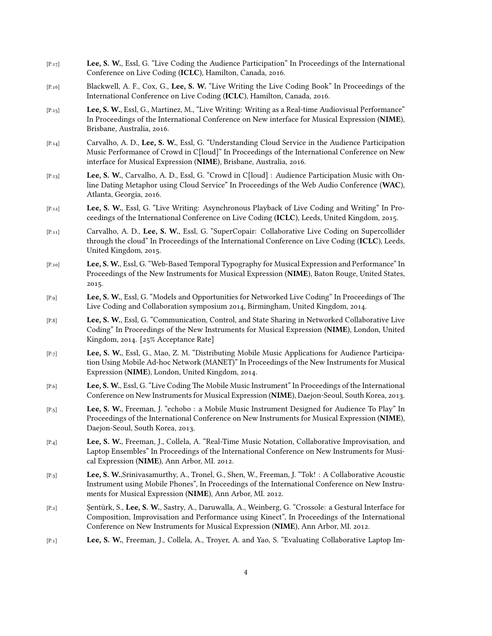- [P.17] **Lee, S. W.**, Essl, G. "Live Coding the Audience Participation" In Proceedings of the International Conference on Live Coding (**ICLC**), Hamilton, Canada, 2016.
- [P.16] Blackwell, A. F., Cox, G., **Lee, S. W.** "Live Writing the Live Coding Book" In Proceedings of the International Conference on Live Coding (**ICLC**), Hamilton, Canada, 2016.
- [P.15] **Lee, S. W.**, Essl, G., Martinez, M., "Live Writing: Writing as a Real-time Audiovisual Performance" In Proceedings of the International Conference on New interface for Musical Expression (**NIME**), Brisbane, Australia, 2016.
- [P.14] Carvalho, A. D., **Lee, S. W.**, Essl, G. "Understanding Cloud Service in the Audience Participation Music Performance of Crowd in C[loud]" In Proceedings of the International Conference on New interface for Musical Expression (**NIME**), Brisbane, Australia, 2016.
- [P.13] **Lee, S. W.**, Carvalho, A. D., Essl, G. "Crowd in C[loud] : Audience Participation Music with Online Dating Metaphor using Cloud Service" In Proceedings of the Web Audio Conference (**WAC**), Atlanta, Georgia, 2016.
- [P.12] **Lee, S. W.**, Essl, G. "Live Writing: Asynchronous Playback of Live Coding and Writing" In Proceedings of the International Conference on Live Coding (**ICLC**), Leeds, United Kingdom, 2015.
- [P.11] Carvalho, A. D., **Lee, S. W.**, Essl, G. "SuperCopair: Collaborative Live Coding on Supercollider through the cloud" In Proceedings of the International Conference on Live Coding (**ICLC**), Leeds, United Kingdom, 2015.
- [P.10] **Lee, S. W.**, Essl, G. "Web-Based Temporal Typography for Musical Expression and Performance" In Proceedings of the New Instruments for Musical Expression (**NIME**), Baton Rouge, United States, 2015.
- [P.9] **Lee, S. W.**, Essl, G. "Models and Opportunities for Networked Live Coding" In Proceedings of The Live Coding and Collaboration symposium 2014, Birmingham, United Kingdom, 2014.
- [P.8] **Lee, S. W.**, Essl, G. "Communication, Control, and State Sharing in Networked Collaborative Live Coding" In Proceedings of the New Instruments for Musical Expression (**NIME**), London, United Kingdom, 2014. [25% Acceptance Rate]
- [P.7] **Lee, S. W.**, Essl, G., Mao, Z. M. "Distributing Mobile Music Applications for Audience Participation Using Mobile Ad-hoc Network (MANET)" In Proceedings of the New Instruments for Musical Expression (**NIME**), London, United Kingdom, 2014.
- [P.6] **Lee, S. W.**, Essl, G. "Live Coding The Mobile Music Instrument" In Proceedings of the International Conference on New Instruments for Musical Expression (**NIME**), Daejon-Seoul, South Korea, 2013.
- [P.5] **Lee, S. W.**, Freeman, J. "echobo : a Mobile Music Instrument Designed for Audience To Play" In Proceedings of the International Conference on New Instruments for Musical Expression (**NIME**), Daejon-Seoul, South Korea, 2013.
- [P.4] **Lee, S. W.**, Freeman, J., Collela, A. "Real-Time Music Notation, Collaborative Improvisation, and Laptop Ensembles" In Proceedings of the International Conference on New Instruments for Musical Expression (**NIME**), Ann Arbor, MI. 2012.
- [P.3] **Lee, S. W.**,Srinivasamurthy, A., Tronel, G., Shen, W., Freeman, J. "Tok! : A Collaborative Acoustic Instrument using Mobile Phones", In Proceedings of the International Conference on New Instruments for Musical Expression (**NIME**), Ann Arbor, MI. 2012.
- [P.2] Şentürk, S., **Lee, S. W.**, Sastry, A., Daruwalla, A., Weinberg, G. "Crossole: a Gestural Interface for Composition, Improvisation and Performance using Kinect", In Proceedings of the International Conference on New Instruments for Musical Expression (**NIME**), Ann Arbor, MI. 2012.
- [P.1] **Lee, S. W.**, Freeman, J., Collela, A., Troyer, A. and Yao, S. "Evaluating Collaborative Laptop Im-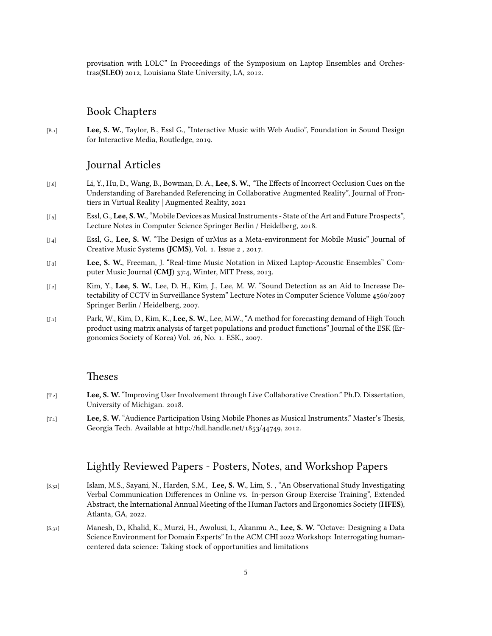provisation with LOLC" In Proceedings of the Symposium on Laptop Ensembles and Orchestras(**SLEO**) 2012, Louisiana State University, LA, 2012.

## Book Chapters

[B.1] **Lee, S. W.**, Taylor, B., Essl G., "Interactive Music with Web Audio", Foundation in Sound Design for Interactive Media, Routledge, 2019.

### Journal Articles

- [J.6] Li, Y., Hu, D., Wang, B., Bowman, D. A., **Lee, S. W.**, "The Effects of Incorrect Occlusion Cues on the Understanding of Barehanded Referencing in Collaborative Augmented Reality", Journal of Frontiers in Virtual Reality | Augmented Reality, 2021
- [J.5] Essl, G., **Lee, S. W.**, "Mobile Devices as Musical Instruments State of the Art and Future Prospects", Lecture Notes in Computer Science Springer Berlin / Heidelberg, 2018.
- [J.4] Essl, G., **Lee, S. W.** "The Design of urMus as a Meta-environment for Mobile Music" Journal of Creative Music Systems (**JCMS**), Vol. 1. Issue 2 , 2017.
- [J.3] **Lee, S. W.**, Freeman, J. "Real-time Music Notation in Mixed Laptop-Acoustic Ensembles" Computer Music Journal (**CMJ**) 37:4, Winter, MIT Press, 2013.
- [J.2] Kim, Y., **Lee, S. W.**, Lee, D. H., Kim, J., Lee, M. W. "Sound Detection as an Aid to Increase Detectability of CCTV in Surveillance System" Lecture Notes in Computer Science Volume 4560/2007 Springer Berlin / Heidelberg, 2007.
- [J.1] Park, W., Kim, D., Kim, K., **Lee, S. W.**, Lee, M.W., "A method for forecasting demand of High Touch product using matrix analysis of target populations and product functions" Journal of the ESK (Ergonomics Society of Korea) Vol. 26, No. 1. ESK., 2007.

### Theses

- [T.2] **Lee, S. W.** "Improving User Involvement through Live Collaborative Creation." Ph.D. Dissertation, University of Michigan. 2018.
- [T.1] **Lee, S. W.** "Audience Participation Using Mobile Phones as Musical Instruments." Master's Thesis, Georgia Tech. Available at http://hdl.handle.net/1853/44749, 2012.

### Lightly Reviewed Papers - Posters, Notes, and Workshop Papers

- [S.32] Islam, M.S., Sayani, N., Harden, S.M., **Lee, S. W.**, Lim, S. , "An Observational Study Investigating Verbal Communication Differences in Online vs. In-person Group Exercise Training", Extended Abstract, the International Annual Meeting of the Human Factors and Ergonomics Society (**HFES**), Atlanta, GA, 2022.
- [S.31] Manesh, D., Khalid, K., Murzi, H., Awolusi, I., Akanmu A., **Lee, S. W.** "Octave: Designing a Data Science Environment for Domain Experts" In the ACM CHI 2022 Workshop: Interrogating humancentered data science: Taking stock of opportunities and limitations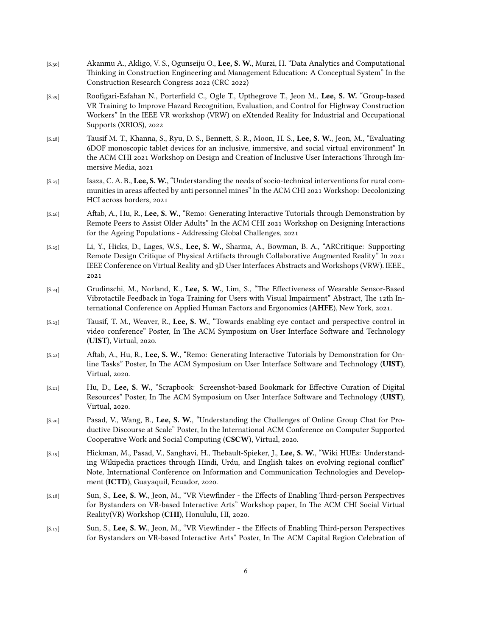- [S.30] Akanmu A., Akligo, V. S., Ogunseiju O., **Lee, S. W.**, Murzi, H. "Data Analytics and Computational Thinking in Construction Engineering and Management Education: A Conceptual System" In the Construction Research Congress 2022 (CRC 2022)
- [S.29] Roofigari-Esfahan N., Porterfield C., Ogle T., Upthegrove T., Jeon M., **Lee, S. W.** "Group-based VR Training to Improve Hazard Recognition, Evaluation, and Control for Highway Construction Workers" In the IEEE VR workshop (VRW) on eXtended Reality for Industrial and Occupational Supports (XRIOS), 2022
- [S.28] Tausif M. T., Khanna, S., Ryu, D. S., Bennett, S. R., Moon, H. S., **Lee, S. W.**, Jeon, M., "Evaluating 6DOF monoscopic tablet devices for an inclusive, immersive, and social virtual environment" In the ACM CHI 2021 Workshop on Design and Creation of Inclusive User Interactions Through Immersive Media, 2021
- [S.27] Isaza, C. A. B., **Lee, S. W.**, "Understanding the needs of socio-technical interventions for rural communities in areas affected by anti personnel mines" In the ACM CHI 2021 Workshop: Decolonizing HCI across borders, 2021
- [S.26] Aftab, A., Hu, R., **Lee, S. W.**, "Remo: Generating Interactive Tutorials through Demonstration by Remote Peers to Assist Older Adults" In the ACM CHI 2021 Workshop on Designing Interactions for the Ageing Populations - Addressing Global Challenges, 2021
- [S.25] Li, Y., Hicks, D., Lages, W.S., **Lee, S. W.**, Sharma, A., Bowman, B. A., "ARCritique: Supporting Remote Design Critique of Physical Artifacts through Collaborative Augmented Reality" In 2021 IEEE Conference on Virtual Reality and 3D User Interfaces Abstracts and Workshops (VRW). IEEE., 2021
- [S.24] Grudinschi, M., Norland, K., **Lee, S. W.**, Lim, S., "The Effectiveness of Wearable Sensor-Based Vibrotactile Feedback in Yoga Training for Users with Visual Impairment" Abstract, The 12th International Conference on Applied Human Factors and Ergonomics (**AHFE**), New York, 2021.
- [S.23] Tausif, T. M., Weaver, R., **Lee, S. W.**, "Towards enabling eye contact and perspective control in video conference" Poster, In The ACM Symposium on User Interface Software and Technology (**UIST**), Virtual, 2020.
- [S.22] Aftab, A., Hu, R., **Lee, S. W.**, "Remo: Generating Interactive Tutorials by Demonstration for Online Tasks" Poster, In The ACM Symposium on User Interface Software and Technology (**UIST**), Virtual, 2020.
- [S.21] Hu, D., **Lee, S. W.**, "Scrapbook: Screenshot-based Bookmark for Effective Curation of Digital Resources" Poster, In The ACM Symposium on User Interface Software and Technology (**UIST**), Virtual, 2020.
- [S.20] Pasad, V., Wang, B., **Lee, S. W.**, "Understanding the Challenges of Online Group Chat for Productive Discourse at Scale" Poster, In the International ACM Conference on Computer Supported Cooperative Work and Social Computing (**CSCW**), Virtual, 2020.
- [S.19] Hickman, M., Pasad, V., Sanghavi, H., Thebault-Spieker, J., **Lee, S. W.**, "Wiki HUEs: Understanding Wikipedia practices through Hindi, Urdu, and English takes on evolving regional conflict" Note, International Conference on Information and Communication Technologies and Development (**ICTD**), Guayaquil, Ecuador, 2020.
- [S.18] Sun, S., **Lee, S. W.**, Jeon, M., "VR Viewfinder the Effects of Enabling Third-person Perspectives for Bystanders on VR-based Interactive Arts" Workshop paper, In The ACM CHI Social Virtual Reality(VR) Workshop (**CHI**), Honululu, HI, 2020.
- [S.17] Sun, S., **Lee, S. W.**, Jeon, M., "VR Viewfinder the Effects of Enabling Third-person Perspectives for Bystanders on VR-based Interactive Arts" Poster, In The ACM Capital Region Celebration of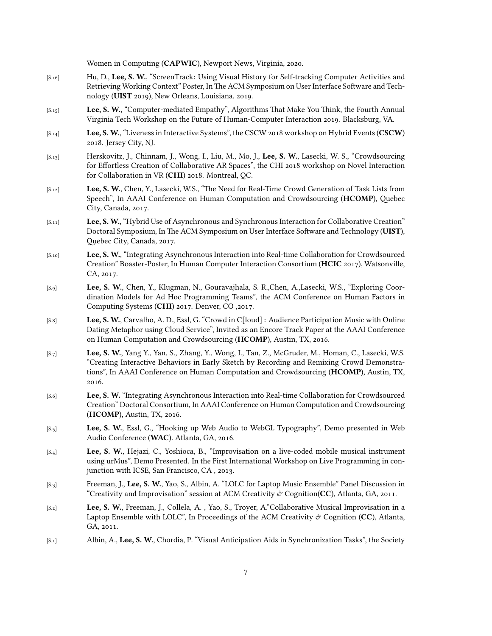Women in Computing (**CAPWIC**), Newport News, Virginia, 2020.

- [S.16] Hu, D., **Lee, S. W.**, "ScreenTrack: Using Visual History for Self-tracking Computer Activities and Retrieving Working Context" Poster, In The ACM Symposium on User Interface Software and Technology (**UIST** 2019), New Orleans, Louisiana, 2019.
- [S.15] **Lee, S. W.**, "Computer-mediated Empathy", Algorithms That Make You Think, the Fourth Annual Virginia Tech Workshop on the Future of Human-Computer Interaction 2019. Blacksburg, VA.
- [S.14] **Lee, S. W.**, "Liveness in Interactive Systems", the CSCW 2018 workshop on Hybrid Events (**CSCW**) 2018. Jersey City, NJ.
- [S.13] Herskovitz, J., Chinnam, J., Wong, I., Liu, M., Mo, J., **Lee, S. W.**, Lasecki, W. S., "Crowdsourcing for Effortless Creation of Collaborative AR Spaces", the CHI 2018 workshop on Novel Interaction for Collaboration in VR (**CHI**) 2018. Montreal, QC.
- [S.12] **Lee, S. W.**, Chen, Y., Lasecki, W.S., "The Need for Real-Time Crowd Generation of Task Lists from Speech", In AAAI Conference on Human Computation and Crowdsourcing (**HCOMP**), Quebec City, Canada, 2017.
- [S.11] **Lee, S. W.**, "Hybrid Use of Asynchronous and Synchronous Interaction for Collaborative Creation" Doctoral Symposium, In The ACM Symposium on User Interface Software and Technology (**UIST**), Quebec City, Canada, 2017.
- [S.10] **Lee, S. W.**, "Integrating Asynchronous Interaction into Real-time Collaboration for Crowdsourced Creation" Boaster-Poster, In Human Computer Interaction Consortium (**HCIC** 2017), Watsonville, CA, 2017.
- [S.9] **Lee, S. W.**, Chen, Y., Klugman, N., Gouravajhala, S. R.,Chen, A.,Lasecki, W.S., "Exploring Coordination Models for Ad Hoc Programming Teams", the ACM Conference on Human Factors in Computing Systems (**CHI**) 2017. Denver, CO ,2017.
- [S.8] **Lee, S. W.**, Carvalho, A. D., Essl, G. "Crowd in C[loud] : Audience Participation Music with Online Dating Metaphor using Cloud Service", Invited as an Encore Track Paper at the AAAI Conference on Human Computation and Crowdsourcing (**HCOMP**), Austin, TX, 2016.
- [S.7] **Lee, S. W.**, Yang Y., Yan, S., Zhang, Y., Wong, I., Tan, Z., McGruder, M., Homan, C., Lasecki, W.S. "Creating Interactive Behaviors in Early Sketch by Recording and Remixing Crowd Demonstrations", In AAAI Conference on Human Computation and Crowdsourcing (**HCOMP**), Austin, TX, 2016.
- [S.6] **Lee, S. W.** "Integrating Asynchronous Interaction into Real-time Collaboration for Crowdsourced Creation" Doctoral Consortium, In AAAI Conference on Human Computation and Crowdsourcing (**HCOMP**), Austin, TX, 2016.
- [S.5] **Lee, S. W.**, Essl, G., "Hooking up Web Audio to WebGL Typography", Demo presented in Web Audio Conference (**WAC**). Atlanta, GA, 2016.
- [S.4] **Lee, S. W.**, Hejazi, C., Yoshioca, B., "Improvisation on a live-coded mobile musical instrument using urMus", Demo Presented. In the First International Workshop on Live Programming in conjunction with ICSE, San Francisco, CA , 2013.
- [S.3] Freeman, J., **Lee, S. W.**, Yao, S., Albin, A. "LOLC for Laptop Music Ensemble" Panel Discussion in "Creativity and Improvisation" session at ACM Creativity  $\mathcal{O}'$  Cognition(**CC**), Atlanta, GA, 2011.
- [S.2] **Lee, S. W.**, Freeman, J., Collela, A. , Yao, S., Troyer, A."Collaborative Musical Improvisation in a Laptop Ensemble with LOLC", In Proceedings of the ACM Creativity  $\phi$  Cognition (CC), Atlanta, GA, 2011.
- [S.1] Albin, A., **Lee, S. W.**, Chordia, P. "Visual Anticipation Aids in Synchronization Tasks", the Society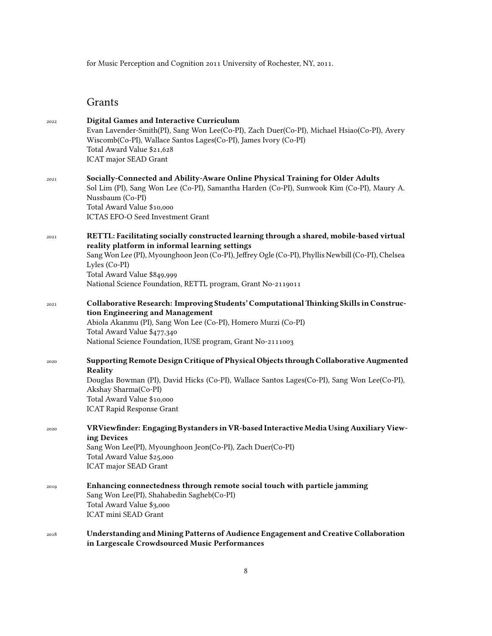for Music Perception and Cognition 2011 University of Rochester, NY, 2011.

## Grants

| 2022 | Digital Games and Interactive Curriculum<br>Evan Lavender-Smith(PI), Sang Won Lee(Co-PI), Zach Duer(Co-PI), Michael Hsiao(Co-PI), Avery<br>Wiscomb(Co-PI), Wallace Santos Lages(Co-PI), James Ivory (Co-PI)<br>Total Award Value \$21,628<br>ICAT major SEAD Grant                                                                                               |
|------|------------------------------------------------------------------------------------------------------------------------------------------------------------------------------------------------------------------------------------------------------------------------------------------------------------------------------------------------------------------|
| 2021 | Socially-Connected and Ability-Aware Online Physical Training for Older Adults<br>Sol Lim (PI), Sang Won Lee (Co-PI), Samantha Harden (Co-PI), Sunwook Kim (Co-PI), Maury A.<br>Nussbaum (Co-PI)<br>Total Award Value \$10,000<br>ICTAS EFO-O Seed Investment Grant                                                                                              |
| 2021 | RETTL: Facilitating socially constructed learning through a shared, mobile-based virtual<br>reality platform in informal learning settings<br>Sang Won Lee (PI), Myounghoon Jeon (Co-PI), Jeffrey Ogle (Co-PI), Phyllis Newbill (Co-PI), Chelsea<br>Lyles (Co-PI)<br>Total Award Value \$849,999<br>National Science Foundation, RETTL program, Grant No-2119011 |
| 2021 | Collaborative Research: Improving Students' Computational Thinking Skills in Construc-<br>tion Engineering and Management<br>Abiola Akanmu (PI), Sang Won Lee (Co-PI), Homero Murzi (Co-PI)<br>Total Award Value \$477,340<br>National Science Foundation, IUSE program, Grant No-2111003                                                                        |
| 2020 | Supporting Remote Design Critique of Physical Objects through Collaborative Augmented<br>Reality<br>Douglas Bowman (PI), David Hicks (Co-PI), Wallace Santos Lages (Co-PI), Sang Won Lee (Co-PI),<br>Akshay Sharma(Co-PI)<br>Total Award Value \$10,000<br><b>ICAT Rapid Response Grant</b>                                                                      |
| 2020 | VRViewfinder: Engaging Bystanders in VR-based Interactive Media Using Auxiliary View-<br>ing Devices<br>Sang Won Lee(PI), Myounghoon Jeon(Co-PI), Zach Duer(Co-PI)<br>Total Award Value \$25,000<br>ICAT major SEAD Grant                                                                                                                                        |
| 2019 | Enhancing connectedness through remote social touch with particle jamming<br>Sang Won Lee(PI), Shahabedin Sagheb(Co-PI)<br>Total Award Value \$3,000<br>ICAT mini SEAD Grant                                                                                                                                                                                     |
| 2018 | Understanding and Mining Patterns of Audience Engagement and Creative Collaboration<br>in Largescale Crowdsourced Music Performances                                                                                                                                                                                                                             |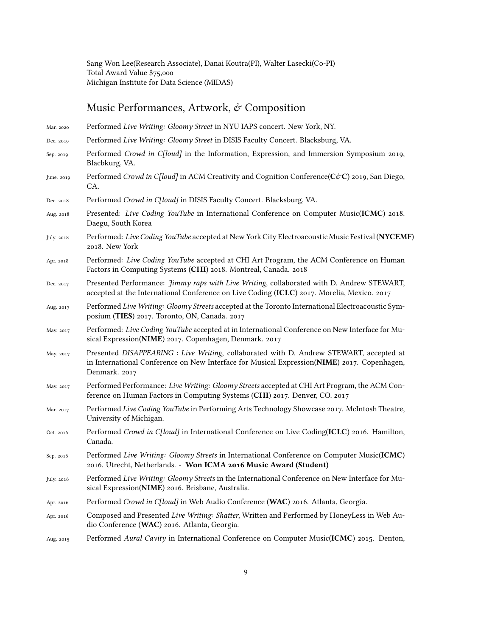Sang Won Lee(Research Associate), Danai Koutra(PI), Walter Lasecki(Co-PI) Total Award Value \$75,000 Michigan Institute for Data Science (MIDAS)

# Music Performances, Artwork,  $\mathop{\mathcal{C}}$  Composition

| Mar. 2020  | Performed Live Writing: Gloomy Street in NYU IAPS concert. New York, NY.                                                                                                                                |
|------------|---------------------------------------------------------------------------------------------------------------------------------------------------------------------------------------------------------|
| Dec. 2019  | Performed Live Writing: Gloomy Street in DISIS Faculty Concert. Blacksburg, VA.                                                                                                                         |
| Sep. 2019  | Performed Crowd in C[loud] in the Information, Expression, and Immersion Symposium 2019,<br>Blacbkurg, VA.                                                                                              |
| June. 2019 | Performed Crowd in C[loud] in ACM Creativity and Cognition Conference( $C\textcircled{c}C$ ) 2019, San Diego,<br>CA.                                                                                    |
| Dec. 2018  | Performed Crowd in C[loud] in DISIS Faculty Concert. Blacksburg, VA.                                                                                                                                    |
| Aug. 2018  | Presented: Live Coding YouTube in International Conference on Computer Music(ICMC) 2018.<br>Daegu, South Korea                                                                                          |
| July. 2018 | Performed: Live Coding YouTube accepted at New York City Electroacoustic Music Festival (NYCEMF)<br>2018. New York                                                                                      |
| Apr. 2018  | Performed: Live Coding YouTube accepted at CHI Art Program, the ACM Conference on Human<br>Factors in Computing Systems (CHI) 2018. Montreal, Canada. 2018                                              |
| Dec. 2017  | Presented Performance: <i>Jimmy raps with Live Writing</i> , collaborated with D. Andrew STEWART,<br>accepted at the International Conference on Live Coding (ICLC) 2017. Morelia, Mexico. 2017         |
| Aug. 2017  | Performed Live Writing: Gloomy Streets accepted at the Toronto International Electroacoustic Sym-<br>posium (TIES) 2017. Toronto, ON, Canada. 2017                                                      |
| May. 2017  | Performed: Live Coding YouTube accepted at in International Conference on New Interface for Mu-<br>sical Expression(NIME) 2017. Copenhagen, Denmark. 2017                                               |
| May. 2017  | Presented DISAPPEARING : Live Writing, collaborated with D. Andrew STEWART, accepted at<br>in International Conference on New Interface for Musical Expression(NIME) 2017. Copenhagen,<br>Denmark. 2017 |
| May. 2017  | Performed Performance: Live Writing: Gloomy Streets accepted at CHI Art Program, the ACM Con-<br>ference on Human Factors in Computing Systems (CHI) 2017. Denver, CO. 2017                             |
| Mar. 2017  | Performed Live Coding YouTube in Performing Arts Technology Showcase 2017. McIntosh Theatre,<br>University of Michigan.                                                                                 |
| Oct. 2016  | Performed Crowd in C[loud] in International Conference on Live Coding(ICLC) 2016. Hamilton,<br>Canada.                                                                                                  |
| Sep. 2016  | Performed Live Writing: Gloomy Streets in International Conference on Computer Music(ICMC)<br>2016. Utrecht, Netherlands. - Won ICMA 2016 Music Award (Student)                                         |
| July. 2016 | Performed Live Writing: Gloomy Streets in the International Conference on New Interface for Mu-<br>sical Expression(NIME) 2016. Brisbane, Australia.                                                    |
| Apr. 2016  | Performed Crowd in C[loud] in Web Audio Conference (WAC) 2016. Atlanta, Georgia.                                                                                                                        |
| Apr. 2016  | Composed and Presented Live Writing: Shatter, Written and Performed by HoneyLess in Web Au-<br>dio Conference (WAC) 2016. Atlanta, Georgia.                                                             |
| Aug. 2015  | Performed Aural Cavity in International Conference on Computer Music(ICMC) 2015. Denton,                                                                                                                |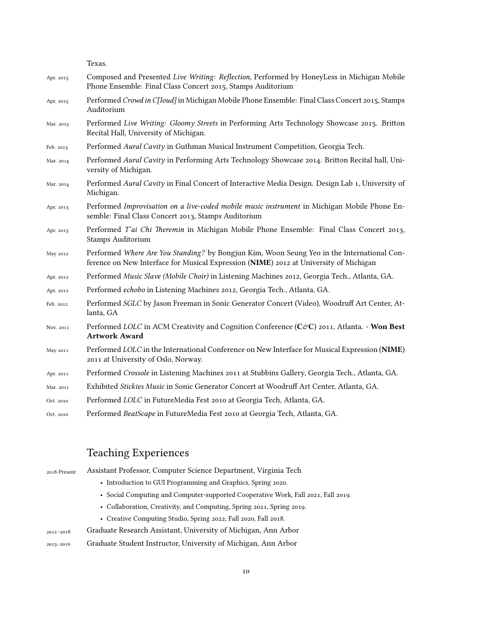Texas.

| Apr. 2015 | Composed and Presented Live Writing: Reflection, Performed by HoneyLess in Michigan Mobile<br>Phone Ensemble: Final Class Concert 2015, Stamps Auditorium                           |
|-----------|-------------------------------------------------------------------------------------------------------------------------------------------------------------------------------------|
| Apr. 2015 | Performed Crowd in C[loud] in Michigan Mobile Phone Ensemble: Final Class Concert 2015, Stamps<br>Auditorium                                                                        |
| Mar. 2015 | Performed Live Writing: Gloomy Streets in Performing Arts Technology Showcase 2015. Britton<br>Recital Hall, University of Michigan.                                                |
| Feb. 2015 | Performed Aural Cavity in Guthman Musical Instrument Competition, Georgia Tech.                                                                                                     |
| Mar. 2014 | Performed Aural Cavity in Performing Arts Technology Showcase 2014. Britton Recital hall, Uni-<br>versity of Michigan.                                                              |
| Mar. 2014 | Performed Aural Cavity in Final Concert of Interactive Media Design. Design Lab 1, University of<br>Michigan.                                                                       |
| Apr. 2013 | Performed Improvisation on a live-coded mobile music instrument in Michigan Mobile Phone En-<br>semble: Final Class Concert 2013, Stamps Auditorium                                 |
| Apr. 2013 | Performed T'ai Chi Theremin in Michigan Mobile Phone Ensemble: Final Class Concert 2013,<br>Stamps Auditorium                                                                       |
| May 2012  | Performed Where Are You Standing? by Bongjun Kim, Woon Seung Yeo in the International Con-<br>ference on New Interface for Musical Expression (NIME) 2012 at University of Michigan |
| Apr. 2012 | Performed Music Slave (Mobile Choir) in Listening Machines 2012, Georgia Tech., Atlanta, GA.                                                                                        |
| Apr. 2012 | Performed echobo in Listening Machines 2012, Georgia Tech., Atlanta, GA.                                                                                                            |
| Feb. 2012 | Performed SGLC by Jason Freeman in Sonic Generator Concert (Video), Woodruff Art Center, At-<br>lanta, GA                                                                           |
| Nov. 2011 | Performed LOLC in ACM Creativity and Cognition Conference (C&C) 2011, Atlanta. - Won Best<br><b>Artwork Award</b>                                                                   |
| May 2011  | Performed LOLC in the International Conference on New Interface for Musical Expression (NIME)<br>2011 at University of Oslo, Norway.                                                |
| Apr. 2011 | Performed Crossole in Listening Machines 2011 at Stubbins Gallery, Georgia Tech., Atlanta, GA.                                                                                      |
| Mar. 2011 | Exhibited Stickies Music in Sonic Generator Concert at Woodruff Art Center, Atlanta, GA.                                                                                            |
| Oct. 2010 | Performed LOLC in FutureMedia Fest 2010 at Georgia Tech, Atlanta, GA.                                                                                                               |
| Oct. 2010 | Performed BeatScape in FutureMedia Fest 2010 at Georgia Tech, Atlanta, GA.                                                                                                          |

# Teaching Experiences

| 2018-Present  | Assistant Professor, Computer Science Department, Virginia Tech                   |
|---------------|-----------------------------------------------------------------------------------|
|               | • Introduction to GUI Programming and Graphics, Spring 2020.                      |
|               | • Social Computing and Computer-supported Cooperative Work, Fall 2021, Fall 2019. |
|               | • Collaboration, Creativity, and Computing, Spring 2021, Spring 2019.             |
|               | • Creative Computing Studio, Spring 2022, Fall 2020, Fall 2018.                   |
| 2012-2018     | Graduate Research Assistant, University of Michigan, Ann Arbor                    |
| $2013 - 2016$ | Graduate Student Instructor, University of Michigan, Ann Arbor                    |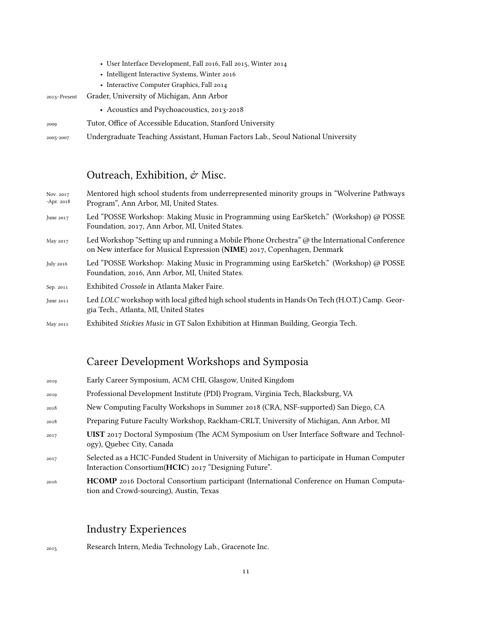|              | • User Interface Development, Fall 2016, Fall 2015, Winter 2014                 |
|--------------|---------------------------------------------------------------------------------|
|              | • Intelligent Interactive Systems, Winter 2016                                  |
|              | • Interactive Computer Graphics, Fall 2014                                      |
| 2013-Present | Grader, University of Michigan, Ann Arbor                                       |
|              | • Acoustics and Psychoacoustics, 2013-2018                                      |
| 2009         | Tutor, Office of Accessible Education, Stanford University                      |
| 2005-2007    | Undergraduate Teaching Assistant, Human Factors Lab., Seoul National University |

## Outreach, Exhibition,  $\acute{\sigma}$  Misc.

| Nov. 2017<br>-Apr. 2018 | Mentored high school students from underrepresented minority groups in "Wolverine Pathways"<br>Program", Ann Arbor, MI, United States.                                    |
|-------------------------|---------------------------------------------------------------------------------------------------------------------------------------------------------------------------|
| June 2017               | Led "POSSE Workshop: Making Music in Programming using EarSketch." (Workshop) @ POSSE<br>Foundation, 2017, Ann Arbor, MI, United States.                                  |
| May 2017                | Led Workshop "Setting up and running a Mobile Phone Orchestra" @ the International Conference<br>on New interface for Musical Expression (NIME) 2017, Copenhagen, Denmark |
| July 2016               | Led "POSSE Workshop: Making Music in Programming using EarSketch." (Workshop) @ POSSE<br>Foundation, 2016, Ann Arbor, MI, United States.                                  |
| Sep. 2011               | Exhibited <i>Crossole</i> in Atlanta Maker Faire.                                                                                                                         |
| June 2011               | Led LOLC workshop with local gifted high school students in Hands On Tech (H.O.T.) Camp. Geor-<br>gia Tech., Atlanta, MI, United States                                   |
| May 2011                | Exhibited <i>Stickies Music</i> in GT Salon Exhibition at Hinman Building, Georgia Tech.                                                                                  |

## Career Development Workshops and Symposia

| 2019 | Early Career Symposium, ACM CHI, Glasgow, United Kingdom                                                                                               |
|------|--------------------------------------------------------------------------------------------------------------------------------------------------------|
| 2019 | Professional Development Institute (PDI) Program, Virginia Tech, Blacksburg, VA                                                                        |
| 2018 | New Computing Faculty Workshops in Summer 2018 (CRA, NSF-supported) San Diego, CA                                                                      |
| 2018 | Preparing Future Faculty Workshop, Rackham-CRLT, University of Michigan, Ann Arbor, MI                                                                 |
| 2017 | UIST 2017 Doctoral Symposium (The ACM Symposium on User Interface Software and Technol-<br>ogy), Quebec City, Canada                                   |
| 2017 | Selected as a HCIC-Funded Student in University of Michigan to participate in Human Computer<br>Interaction Consortium (HCIC) 2017 "Designing Future". |
| 2016 | <b>HCOMP</b> 2016 Doctoral Consortium participant (International Conference on Human Computa-<br>tion and Crowd-sourcing), Austin, Texas               |

## Industry Experiences

<sup>2015</sup> Research Intern, Media Technology Lab., Gracenote Inc.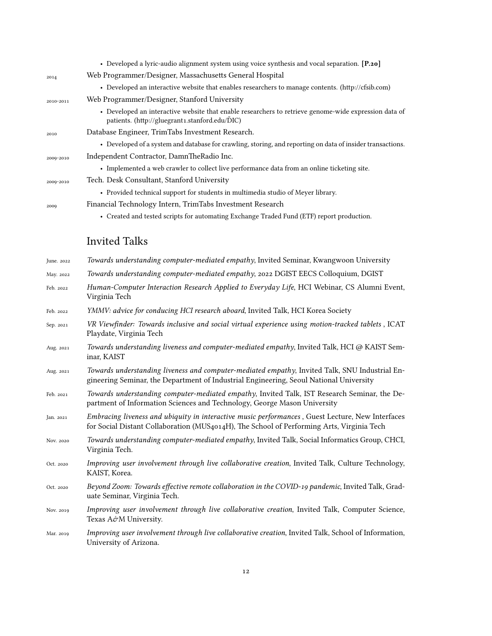|           | • Developed a lyric-audio alignment system using voice synthesis and vocal separation. [P.20]                                                                       |
|-----------|---------------------------------------------------------------------------------------------------------------------------------------------------------------------|
| 2014      | Web Programmer/Designer, Massachusetts General Hospital                                                                                                             |
|           | • Developed an interactive website that enables researchers to manage contents. (http://cfsib.com)                                                                  |
| 2010-2011 | Web Programmer/Designer, Stanford University                                                                                                                        |
|           | • Developed an interactive website that enable researchers to retrieve genome-wide expression data of<br>patients. (http://gluegrant1.stanford.edu/ $\tilde{D}IC$ ) |
| 2010      | Database Engineer, TrimTabs Investment Research.                                                                                                                    |
|           | • Developed of a system and database for crawling, storing, and reporting on data of insider transactions.                                                          |
| 2009-2010 | Independent Contractor, DamnTheRadio Inc.                                                                                                                           |
|           | • Implemented a web crawler to collect live performance data from an online ticketing site.                                                                         |
| 2009-2010 | Tech. Desk Consultant, Stanford University                                                                                                                          |
|           | • Provided technical support for students in multimedia studio of Meyer library.                                                                                    |
| 2009      | Financial Technology Intern, TrimTabs Investment Research                                                                                                           |
|           | • Created and tested scripts for automating Exchange Traded Fund (ETF) report production.                                                                           |
|           |                                                                                                                                                                     |

# Invited Talks

| June. 2022 | Towards understanding computer-mediated empathy, Invited Seminar, Kwangwoon University                                                                                                        |
|------------|-----------------------------------------------------------------------------------------------------------------------------------------------------------------------------------------------|
| May. 2022  | Towards understanding computer-mediated empathy, 2022 DGIST EECS Colloquium, DGIST                                                                                                            |
| Feb. 2022  | Human-Computer Interaction Research Applied to Everyday Life, HCI Webinar, CS Alumni Event,<br>Virginia Tech                                                                                  |
| Feb. 2022  | <i>YMMV: advice for conducing HCI research aboard, Invited Talk, HCI Korea Society</i>                                                                                                        |
| Sep. 2021  | VR Viewfinder: Towards inclusive and social virtual experience using motion-tracked tablets, ICAT<br>Playdate, Virginia Tech                                                                  |
| Aug. 2021  | Towards understanding liveness and computer-mediated empathy, Invited Talk, HCI @ KAIST Sem-<br>inar, KAIST                                                                                   |
| Aug. 2021  | Towards understanding liveness and computer-mediated empathy, Invited Talk, SNU Industrial En-<br>gineering Seminar, the Department of Industrial Engineering, Seoul National University      |
| Feb. 2021  | Towards understanding computer-mediated empathy, Invited Talk, IST Research Seminar, the De-<br>partment of Information Sciences and Technology, George Mason University                      |
| Jan. 2021  | Embracing liveness and ubiquity in interactive music performances, Guest Lecture, New Interfaces<br>for Social Distant Collaboration (MUS4014H), The School of Performing Arts, Virginia Tech |
| Nov. 2020  | Towards understanding computer-mediated empathy, Invited Talk, Social Informatics Group, CHCI,<br>Virginia Tech.                                                                              |
| Oct. 2020  | Improving user involvement through live collaborative creation, Invited Talk, Culture Technology,<br>KAIST, Korea.                                                                            |
| Oct. 2020  | Beyond Zoom: Towards effective remote collaboration in the COVID-19 pandemic, Invited Talk, Grad-<br>uate Seminar, Virginia Tech.                                                             |
| Nov. 2019  | Improving user involvement through live collaborative creation, Invited Talk, Computer Science,<br>Texas A&M University.                                                                      |

Mar. 2019 *Improving user involvement through live collaborative creation*, Invited Talk, School of Information, University of Arizona.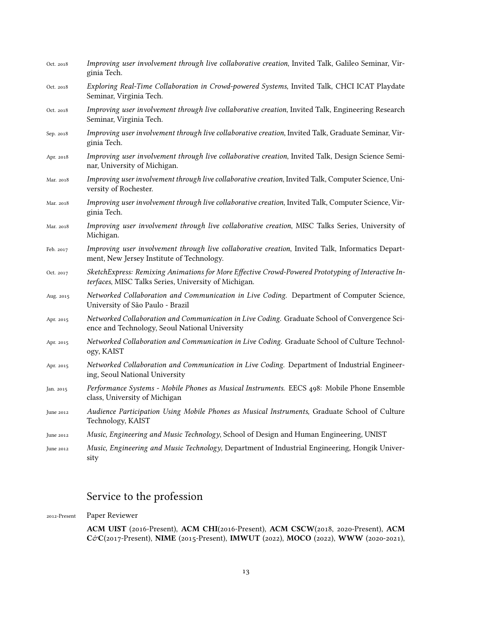| Oct. 2018 | Improving user involvement through live collaborative creation, Invited Talk, Galileo Seminar, Vir-<br>ginia Tech.                                         |
|-----------|------------------------------------------------------------------------------------------------------------------------------------------------------------|
| Oct. 2018 | Exploring Real-Time Collaboration in Crowd-powered Systems, Invited Talk, CHCI ICAT Playdate<br>Seminar, Virginia Tech.                                    |
| Oct. 2018 | Improving user involvement through live collaborative creation, Invited Talk, Engineering Research<br>Seminar, Virginia Tech.                              |
| Sep. 2018 | Improving user involvement through live collaborative creation, Invited Talk, Graduate Seminar, Vir-<br>ginia Tech.                                        |
| Apr. 2018 | Improving user involvement through live collaborative creation, Invited Talk, Design Science Semi-<br>nar, University of Michigan.                         |
| Mar. 2018 | Improving user involvement through live collaborative creation, Invited Talk, Computer Science, Uni-<br>versity of Rochester.                              |
| Mar. 2018 | Improving user involvement through live collaborative creation, Invited Talk, Computer Science, Vir-<br>ginia Tech.                                        |
| Mar. 2018 | Improving user involvement through live collaborative creation, MISC Talks Series, University of<br>Michigan.                                              |
| Feb. 2017 | Improving user involvement through live collaborative creation, Invited Talk, Informatics Depart-<br>ment, New Jersey Institute of Technology.             |
| Oct. 2017 | SketchExpress: Remixing Animations for More Effective Crowd-Powered Prototyping of Interactive In-<br>terfaces, MISC Talks Series, University of Michigan. |
| Aug. 2015 | Networked Collaboration and Communication in Live Coding. Department of Computer Science,<br>University of São Paulo - Brazil                              |
| Apr. 2015 | Networked Collaboration and Communication in Live Coding. Graduate School of Convergence Sci-<br>ence and Technology, Seoul National University            |
| Apr. 2015 | Networked Collaboration and Communication in Live Coding. Graduate School of Culture Technol-<br>ogy, KAIST                                                |
| Apr. 2015 | Networked Collaboration and Communication in Live Coding. Department of Industrial Engineer-<br>ing, Seoul National University                             |
| Jan. 2015 | Performance Systems - Mobile Phones as Musical Instruments. EECS 498: Mobile Phone Ensemble<br>class, University of Michigan                               |
| June 2012 | Audience Participation Using Mobile Phones as Musical Instruments, Graduate School of Culture<br>Technology, KAIST                                         |
| June 2012 | Music, Engineering and Music Technology, School of Design and Human Engineering, UNIST                                                                     |
| June 2012 | Music, Engineering and Music Technology, Department of Industrial Engineering, Hongik Univer-<br>sity                                                      |

# Service to the profession

2012-Present Paper Reviewer

**ACM UIST** (2016-Present), **ACM CHI**(2016-Present), **ACM CSCW**(2018, 2020-Present), **ACM** C&**C**(2017-Present), NIME (2015-Present), **IMWUT** (2022), **MOCO** (2022), **WWW** (2020-2021),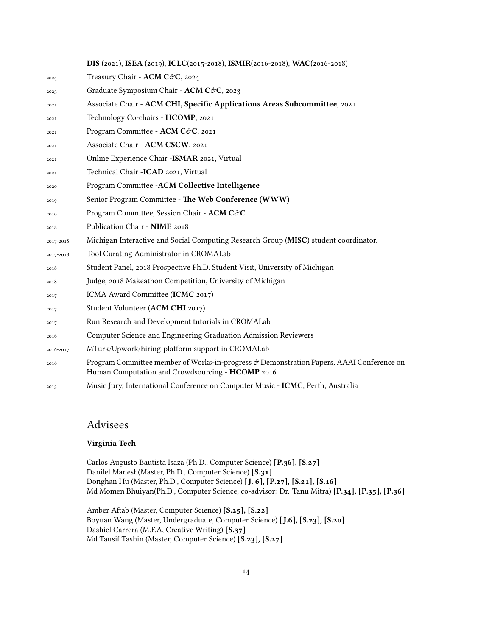**DIS** (2021), **ISEA** (2019), **ICLC**(2015-2018), **ISMIR**(2016-2018), **WAC**(2016-2018) 2024 Treasury Chair - **ACM C**&**C**, 2024 2023 Graduate Symposium Chair - **ACM C** $\acute{\mathcal{C}}$ **C**, 2023 Associate Chair - **ACM CHI, Specific Applications Areas Subcommittee**, 2021 Technology Co-chairs - **HCOMP**, 2021 2021 Program Committee - **ACM C**&**C**, 2021 Associate Chair - **ACM CSCW**, 2021 Online Experience Chair -**ISMAR** 2021, Virtual Technical Chair -**ICAD** 2021, Virtual Program Committee -**ACM Collective Intelligence** Senior Program Committee - **The Web Conference (WWW)** 2019 Program Committee, Session Chair - **ACM C**&**C**  Publication Chair - **NIME** 2018 2017-2018 Michigan Interactive and Social Computing Research Group (**MISC**) student coordinator. 2017-2018 Tool Curating Administrator in CROMALab Student Panel, 2018 Prospective Ph.D. Student Visit, University of Michigan Judge, 2018 Makeathon Competition, University of Michigan ICMA Award Committee (**ICMC** 2017) Student Volunteer (**ACM CHI** 2017) Run Research and Development tutorials in CROMALab Computer Science and Engineering Graduation Admission Reviewers 2016-2017 MTurk/Upwork/hiring-platform support in CROMALab Program Committee member of Works-in-progress & Demonstration Papers, AAAI Conference on Human Computation and Crowdsourcing - **HCOMP** 2016 Music Jury, International Conference on Computer Music - **ICMC**, Perth, Australia

### Advisees

#### **Virginia Tech**

Carlos Augusto Bautista Isaza (Ph.D., Computer Science) **[P.36], [S.27]** Danilel Manesh(Master, Ph.D., Computer Science) **[S.31]** Donghan Hu (Master, Ph.D., Computer Science) **[J. 6], [P.27], [S.21], [S.16]** Md Momen Bhuiyan(Ph.D., Computer Science, co-advisor: Dr. Tanu Mitra) **[P.34], [P.35], [P.36]**

Amber Aftab (Master, Computer Science) **[S.25], [S.22]** Boyuan Wang (Master, Undergraduate, Computer Science) **[J.6], [S.23], [S.20]** Dashiel Carrera (M.F.A, Creative Writing) **[S.37]** Md Tausif Tashin (Master, Computer Science) **[S.23], [S.27]**